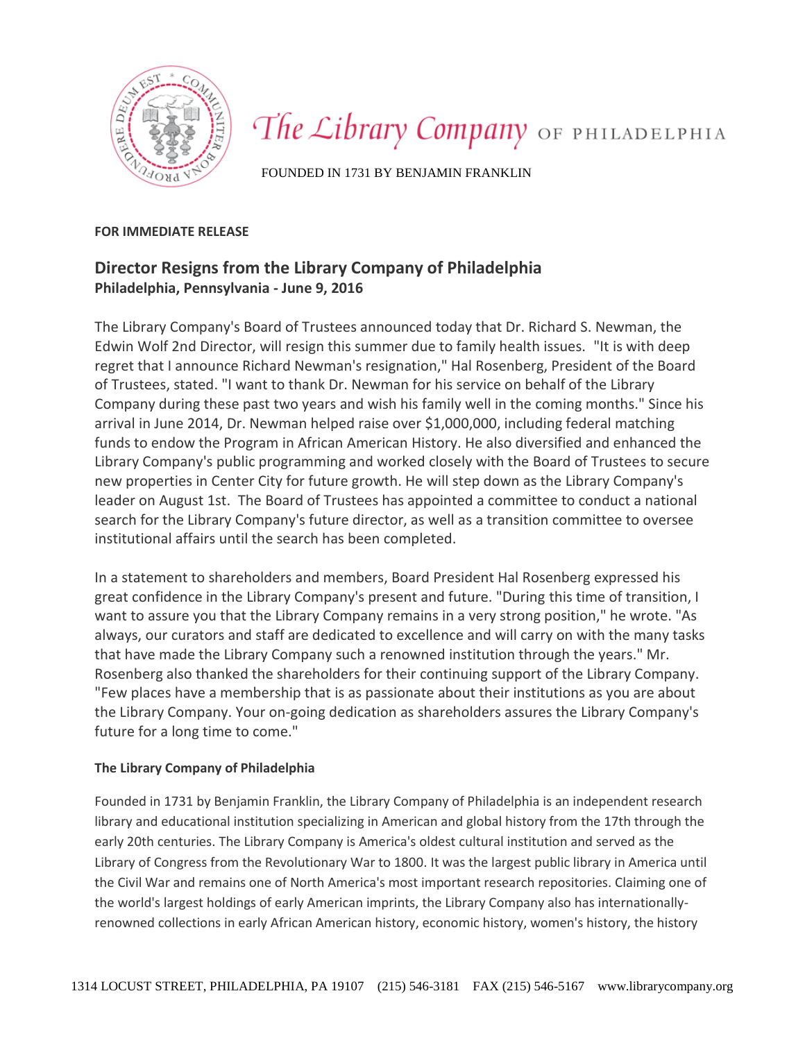

## The Library Company OF PHILADELPHIA

FOUNDED IN 1731 BY BENJAMIN FRANKLIN

## **FOR IMMEDIATE RELEASE**

## **Director Resigns from the Library Company of Philadelphia Philadelphia, Pennsylvania - June 9, 2016**

The Library Company's Board of Trustees announced today that Dr. Richard S. Newman, the Edwin Wolf 2nd Director, will resign this summer due to family health issues. "It is with deep regret that I announce Richard Newman's resignation," Hal Rosenberg, President of the Board of Trustees, stated. "I want to thank Dr. Newman for his service on behalf of the Library Company during these past two years and wish his family well in the coming months." Since his arrival in June 2014, Dr. Newman helped raise over \$1,000,000, including federal matching funds to endow the Program in African American History. He also diversified and enhanced the Library Company's public programming and worked closely with the Board of Trustees to secure new properties in Center City for future growth. He will step down as the Library Company's leader on August 1st. The Board of Trustees has appointed a committee to conduct a national search for the Library Company's future director, as well as a transition committee to oversee institutional affairs until the search has been completed.

In a statement to shareholders and members, Board President Hal Rosenberg expressed his great confidence in the Library Company's present and future. "During this time of transition, I want to assure you that the Library Company remains in a very strong position," he wrote. "As always, our curators and staff are dedicated to excellence and will carry on with the many tasks that have made the Library Company such a renowned institution through the years." Mr. Rosenberg also thanked the shareholders for their continuing support of the Library Company. "Few places have a membership that is as passionate about their institutions as you are about the Library Company. Your on-going dedication as shareholders assures the Library Company's future for a long time to come."

## **The Library Company of Philadelphia**

Founded in 1731 by Benjamin Franklin, the Library Company of Philadelphia is an independent research library and educational institution specializing in American and global history from the 17th through the early 20th centuries. The Library Company is America's oldest cultural institution and served as the Library of Congress from the Revolutionary War to 1800. It was the largest public library in America until the Civil War and remains one of North America's most important research repositories. Claiming one of the world's largest holdings of early American imprints, the Library Company also has internationallyrenowned collections in early African American history, economic history, women's history, the history